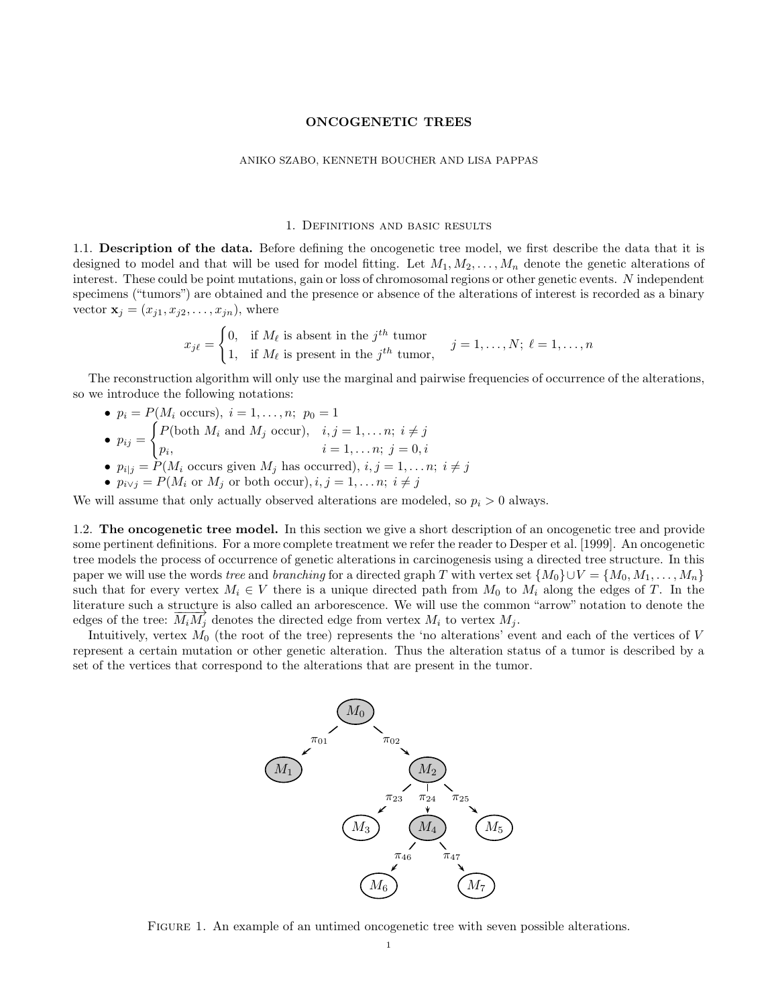## ONCOGENETIC TREES

#### ANIKO SZABO, KENNETH BOUCHER AND LISA PAPPAS

### 1. Definitions and basic results

1.1. Description of the data. Before defining the oncogenetic tree model, we first describe the data that it is designed to model and that will be used for model fitting. Let  $M_1, M_2, \ldots, M_n$  denote the genetic alterations of interest. These could be point mutations, gain or loss of chromosomal regions or other genetic events. N independent specimens ("tumors") are obtained and the presence or absence of the alterations of interest is recorded as a binary vector  $\mathbf{x}_j = (x_{j1}, x_{j2}, \dots, x_{jn})$ , where

$$
x_{j\ell} = \begin{cases} 0, & \text{if } M_\ell \text{ is absent in the } j^{th} \text{ tumor} \\ 1, & \text{if } M_\ell \text{ is present in the } j^{th} \text{ tumor}, \end{cases} \quad j = 1, \dots, N; \ \ell = 1, \dots, n
$$

The reconstruction algorithm will only use the marginal and pairwise frequencies of occurrence of the alterations, so we introduce the following notations:

- $p_i = P(M_i \text{ occurs}), i = 1, ..., n; p_0 = 1$ •  $p_{ij} =$  $\int P(\text{both } M_i \text{ and } M_j \text{ occur}), \quad i, j = 1, \dots n; \ i \neq j$  $p_i,$   $i = 1, \ldots n; j = 0, i$ •  $p_{i|j} = P(M_i \text{ occurs given } M_j \text{ has occurred}), i, j = 1, \ldots n; i \neq j$
- $p_{i \vee j} = P(M_i \text{ or } M_j \text{ or both occur}), i, j = 1, \dots n; i \neq j$

We will assume that only actually observed alterations are modeled, so  $p_i > 0$  always.

1.2. The oncogenetic tree model. In this section we give a short description of an oncogenetic tree and provide some pertinent definitions. For a more complete treatment we refer the reader to Desper et al. [1999]. An oncogenetic tree models the process of occurrence of genetic alterations in carcinogenesis using a directed tree structure. In this paper we will use the words tree and branching for a directed graph T with vertex set  $\{M_0\}\cup V = \{M_0, M_1, \ldots, M_n\}$ such that for every vertex  $M_i \in V$  there is a unique directed path from  $M_0$  to  $M_i$  along the edges of T. In the literature such a structure is also called an arborescence. We will use the common "arrow" notation to denote the edges of the tree:  $M_i M_j$  denotes the directed edge from vertex  $M_i$  to vertex  $M_j$ .

Intuitively, vertex  $M_0$  (the root of the tree) represents the 'no alterations' event and each of the vertices of  $V$ represent a certain mutation or other genetic alteration. Thus the alteration status of a tumor is described by a set of the vertices that correspond to the alterations that are present in the tumor.



FIGURE 1. An example of an untimed oncogenetic tree with seven possible alterations.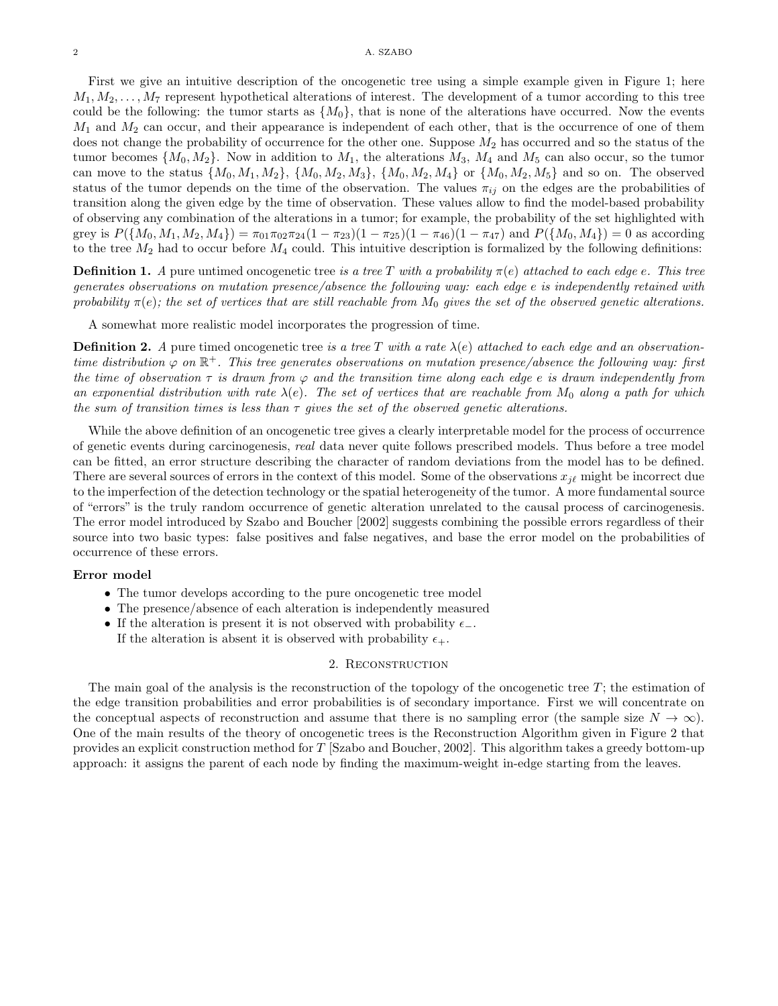#### 2 A. SZABO

First we give an intuitive description of the oncogenetic tree using a simple example given in Figure 1; here  $M_1, M_2, \ldots, M_7$  represent hypothetical alterations of interest. The development of a tumor according to this tree could be the following: the tumor starts as  $\{M_0\}$ , that is none of the alterations have occurred. Now the events  $M_1$  and  $M_2$  can occur, and their appearance is independent of each other, that is the occurrence of one of them does not change the probability of occurrence for the other one. Suppose  $M_2$  has occurred and so the status of the tumor becomes  $\{M_0, M_2\}$ . Now in addition to  $M_1$ , the alterations  $M_3$ ,  $M_4$  and  $M_5$  can also occur, so the tumor can move to the status  $\{M_0, M_1, M_2\}$ ,  $\{M_0, M_2, M_3\}$ ,  $\{M_0, M_2, M_4\}$  or  $\{M_0, M_2, M_5\}$  and so on. The observed status of the tumor depends on the time of the observation. The values  $\pi_{ij}$  on the edges are the probabilities of transition along the given edge by the time of observation. These values allow to find the model-based probability of observing any combination of the alterations in a tumor; for example, the probability of the set highlighted with grey is  $P(\{M_0, M_1, M_2, M_4\}) = \pi_{01}\pi_{02}\pi_{24}(1 - \pi_{23})(1 - \pi_{25})(1 - \pi_{46})(1 - \pi_{47})$  and  $P(\{M_0, M_4\}) = 0$  as according to the tree  $M_2$  had to occur before  $M_4$  could. This intuitive description is formalized by the following definitions:

**Definition 1.** A pure untimed oncogenetic tree is a tree T with a probability  $\pi(e)$  attached to each edge e. This tree generates observations on mutation presence/absence the following way: each edge e is independently retained with probability  $\pi(e)$ ; the set of vertices that are still reachable from  $M_0$  gives the set of the observed genetic alterations.

A somewhat more realistic model incorporates the progression of time.

**Definition 2.** A pure timed oncogenetic tree is a tree T with a rate  $\lambda(e)$  attached to each edge and an observationtime distribution  $\varphi$  on  $\mathbb{R}^+$ . This tree generates observations on mutation presence/absence the following way: first the time of observation  $\tau$  is drawn from  $\varphi$  and the transition time along each edge e is drawn independently from an exponential distribution with rate  $\lambda(e)$ . The set of vertices that are reachable from  $M_0$  along a path for which the sum of transition times is less than  $\tau$  gives the set of the observed genetic alterations.

While the above definition of an oncogenetic tree gives a clearly interpretable model for the process of occurrence of genetic events during carcinogenesis, real data never quite follows prescribed models. Thus before a tree model can be fitted, an error structure describing the character of random deviations from the model has to be defined. There are several sources of errors in the context of this model. Some of the observations  $x_{i\ell}$  might be incorrect due to the imperfection of the detection technology or the spatial heterogeneity of the tumor. A more fundamental source of "errors" is the truly random occurrence of genetic alteration unrelated to the causal process of carcinogenesis. The error model introduced by Szabo and Boucher [2002] suggests combining the possible errors regardless of their source into two basic types: false positives and false negatives, and base the error model on the probabilities of occurrence of these errors.

### Error model

- The tumor develops according to the pure oncogenetic tree model
- The presence/absence of each alteration is independently measured
- If the alteration is present it is not observed with probability  $\epsilon_-\,$ . If the alteration is absent it is observed with probability  $\epsilon_{+}$ .

## 2. Reconstruction

The main goal of the analysis is the reconstruction of the topology of the oncogenetic tree  $T$ ; the estimation of the edge transition probabilities and error probabilities is of secondary importance. First we will concentrate on the conceptual aspects of reconstruction and assume that there is no sampling error (the sample size  $N \to \infty$ ). One of the main results of the theory of oncogenetic trees is the Reconstruction Algorithm given in Figure 2 that provides an explicit construction method for T [Szabo and Boucher, 2002]. This algorithm takes a greedy bottom-up approach: it assigns the parent of each node by finding the maximum-weight in-edge starting from the leaves.